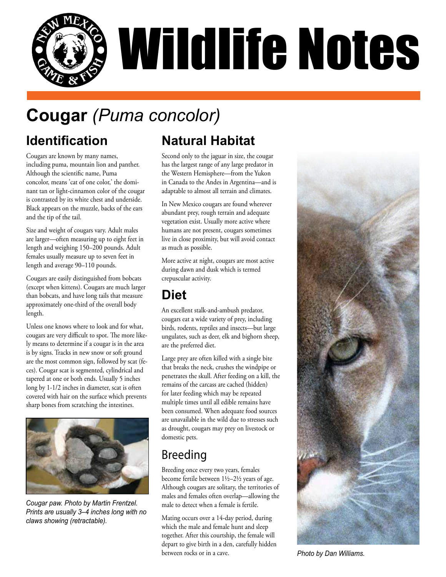

## **Cougar** *(Puma concolor)*

#### **Identification**

Cougars are known by many names, including puma, mountain lion and panther. Although the scientific name, Puma concolor, means 'cat of one color,' the dominant tan or light-cinnamon color of the cougar is contrasted by its white chest and underside. Black appears on the muzzle, backs of the ears and the tip of the tail.

Size and weight of cougars vary. Adult males are larger—often measuring up to eight feet in length and weighing 150–200 pounds. Adult females usually measure up to seven feet in length and average 90–110 pounds.

Cougars are easily distinguished from bobcats (except when kittens). Cougars are much larger than bobcats, and have long tails that measure approximately one-third of the overall body length.

Unless one knows where to look and for what, cougars are very difficult to spot. The more likely means to determine if a cougar is in the area is by signs. Tracks in new snow or soft ground are the most common sign, followed by scat (feces). Cougar scat is segmented, cylindrical and tapered at one or both ends. Usually 5 inches long by 1-1/2 inches in diameter, scat is often covered with hair on the surface which prevents sharp bones from scratching the intestines.



*Cougar paw. Photo by Martin Frentzel. Prints are usually 3–4 inches long with no claws showing (retractable).* 

#### **Natural Habitat**

Second only to the jaguar in size, the cougar has the largest range of any large predator in the Western Hemisphere—from the Yukon in Canada to the Andes in Argentina—and is adaptable to almost all terrain and climates.

In New Mexico cougars are found wherever abundant prey, rough terrain and adequate vegetation exist. Usually more active where humans are not present, cougars sometimes live in close proximity, but will avoid contact as much as possible.

More active at night, cougars are most active during dawn and dusk which is termed crepuscular activity.

#### **Diet**

An excellent stalk-and-ambush predator, cougars eat a wide variety of prey, including birds, rodents, reptiles and insects—but large ungulates, such as deer, elk and bighorn sheep, are the preferred diet.

Large prey are often killed with a single bite that breaks the neck, crushes the windpipe or penetrates the skull. After feeding on a kill, the remains of the carcass are cached (hidden) for later feeding which may be repeated multiple times until all edible remains have been consumed. When adequate food sources are unavailable in the wild due to stresses such as drought, cougars may prey on livestock or domestic pets.

#### Breeding

Breeding once every two years, females become fertile between 1½–2½ years of age. Although cougars are solitary, the territories of males and females often overlap—allowing the male to detect when a female is fertile.

Mating occurs over a 14-day period, during which the male and female hunt and sleep together. After this courtship, the female will depart to give birth in a den, carefully hidden between rocks or in a cave.



*Photo by Dan Williams.*